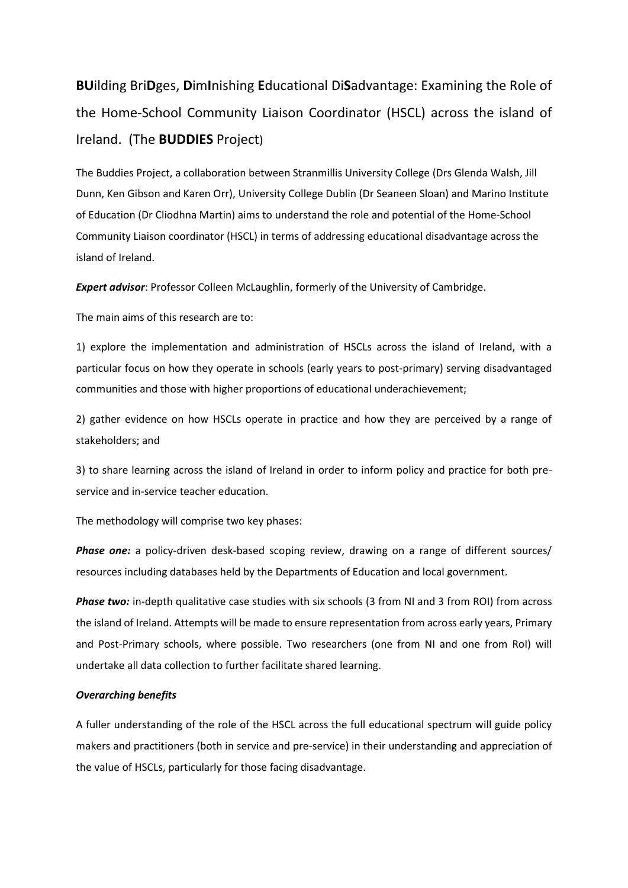**BU**ilding Bri**D**ges, **D**im**I**nishing **E**ducational Di**S**advantage: Examining the Role of the Home-School Community Liaison Coordinator (HSCL) across the island of Ireland. (The **BUDDIES** Project)

The Buddies Project, a collaboration between Stranmillis University College (Drs Glenda Walsh, Jill Dunn, Ken Gibson and Karen Orr), University College Dublin (Dr Seaneen Sloan) and Marino Institute of Education (Dr Cliodhna Martin) aims to understand the role and potential of the Home-School Community Liaison coordinator (HSCL) in terms of addressing educational disadvantage across the island of Ireland.

*Expert advisor*: Professor Colleen McLaughlin, formerly of the University of Cambridge.

The main aims of this research are to:

1) explore the implementation and administration of HSCLs across the island of Ireland, with a particular focus on how they operate in schools (early years to post-primary) serving disadvantaged communities and those with higher proportions of educational underachievement;

2) gather evidence on how HSCLs operate in practice and how they are perceived by a range of stakeholders; and

3) to share learning across the island of Ireland in order to inform policy and practice for both preservice and in-service teacher education.

The methodology will comprise two key phases:

*Phase one:* a policy-driven desk-based scoping review, drawing on a range of different sources/ resources including databases held by the Departments of Education and local government.

**Phase two:** in-depth qualitative case studies with six schools (3 from NI and 3 from ROI) from across the island of Ireland. Attempts will be made to ensure representation from across early years, Primary and Post-Primary schools, where possible. Two researchers (one from NI and one from RoI) will undertake all data collection to further facilitate shared learning.

## *Overarching benefits*

A fuller understanding of the role of the HSCL across the full educational spectrum will guide policy makers and practitioners (both in service and pre-service) in their understanding and appreciation of the value of HSCLs, particularly for those facing disadvantage.